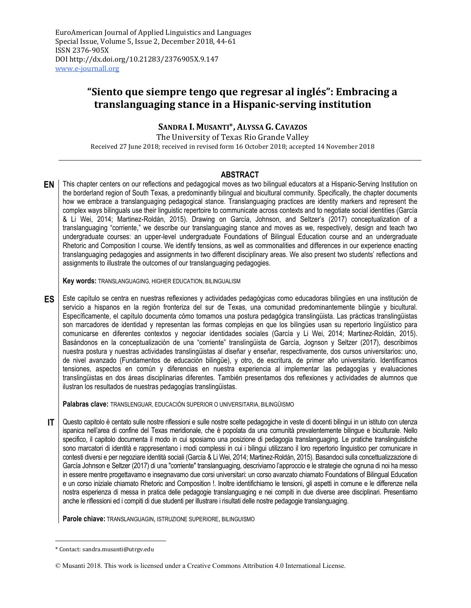# **"Siento que siempre tengo que regresar al inglés": Embracing a translanguaging stance in a Hispanic-serving institution**

## **SANDRA I. MUSANTI**\***, ALYSSA G. CAVAZOS**

The University of Texas Rio Grande Valley Received 27 June 2018; received in revised form 16 October 2018; accepted 14 November 2018

## **ABSTRACT**

**EN** This chapter centers on our reflections and pedagogical moves as two bilingual educators at a Hispanic-Serving Institution on the borderland region of South Texas, a predominantly bilingual and bicultural community. Specifically, the chapter documents how we embrace a translanguaging pedagogical stance. Translanguaging practices are identity markers and represent the complex ways bilinguals use their linguistic repertoire to communicate across contexts and to negotiate social identities (García & Li Wei, 2014; Martinez-Roldán, 2015). Drawing on García, Johnson, and Seltzer's (2017) conceptualization of a translanguaging "corriente," we describe our translanguaging stance and moves as we, respectively, design and teach two undergraduate courses: an upper-level undergraduate Foundations of Bilingual Education course and an undergraduate Rhetoric and Composition I course. We identify tensions, as well as commonalities and differences in our experience enacting translanguaging pedagogies and assignments in two different disciplinary areas. We also present two students' reflections and assignments to illustrate the outcomes of our translanguaging pedagogies.

**Key words:** TRANSLANGUAGING, HIGHER EDUCATION, BILINGUALISM

**ES** Este capítulo se centra en nuestras reflexiones y actividades pedagógicas como educadoras bilingües en una institución de servicio a hispanos en la región fronteriza del sur de Texas, una comunidad predominantemente bilingüe y bicultural. Específicamente, el capítulo documenta cómo tomamos una postura pedagógica translingüista. Las prácticas translingüistas son marcadores de identidad y representan las formas complejas en que los bilingües usan su repertorio lingüístico para comunicarse en diferentes contextos y negociar identidades sociales (García y Li Wei, 2014; Martinez-Roldán, 2015). Basándonos en la conceptualización de una "corriente" translingüista de García, Jognson y Seltzer (2017), describimos nuestra postura y nuestras actividades translingüistas al diseñar y enseñar, respectivamente, dos cursos universitarios: uno, de nivel avanzado (Fundamentos de educación bilingüe), y otro, de escritura, de primer año universitario. Identificamos tensiones, aspectos en común y diferencias en nuestra experiencia al implementar las pedagogías y evaluaciones translingüistas en dos áreas disciplinarias diferentes. También presentamos dos reflexiones y actividades de alumnos que ilustran los resultados de nuestras pedagogías translingüistas.

**Palabras clave:** TRANSLENGUAR, EDUCACIÓN SUPERIOR O UNIVERSITARIA, BILINGÜISMO

**IT** | Questo capitolo è centato sulle nostre riflessioni e sulle nostre scelte pedagogiche in veste di docenti bilingui in un istituto con utenza ispanica nell'area di confine del Texas meridionale, che è popolata da una comunità prevalentemente bilingue e biculturale. Nello specifico, il capitolo documenta il modo in cui sposiamo una posizione di pedagogia translanguaging. Le pratiche translinguistiche sono marcatori di identità e rappresentano i modi complessi in cui i bilingui utilizzano il loro repertorio linguistico per comunicare in contesti diversi e per negoziare identità sociali (García & Li Wei, 2014; Martinez-Roldán, 2015). Basandoci sulla concettualizzazione di García Johnson e Seltzer (2017) di una "corriente" translanguaging, descriviamo l'approccio e le strategie che ognuna di noi ha messo in essere mentre progettavamo e insegnavamo due corsi universitari: un corso avanzato chiamato Foundations of Bilingual Education e un corso iniziale chiamato Rhetoric and Composition !. Inoltre identifichiamo le tensioni, gli aspetti in comune e le differenze nella nostra esperienza di messa in pratica delle pedagogie translanguaging e nei compiti in due diverse aree disciplinari. Presentiamo anche le riflessioni ed i compiti di due studenti per illustrare i risultati delle nostre pedagogie translanguaging.

**Parole chiave:** TRANSLANGUAGIN, ISTRUZIONE SUPERIORE, BILINGUISMO

<sup>\*</sup> Contact: sandra.musanti@utrgv.edu

<sup>©</sup> Musanti 2018. This work is licensed under a Creative Commons Attribution 4.0 International License.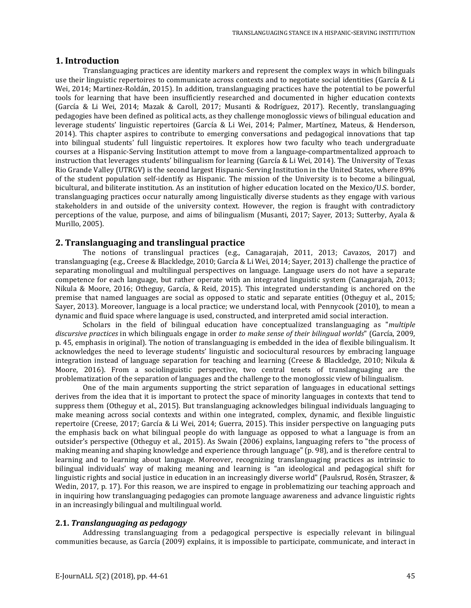#### **1. Introduction**

Translanguaging practices are identity markers and represent the complex ways in which bilinguals use their linguistic repertoires to communicate across contexts and to negotiate social identities (García & Li Wei, 2014; Martinez-Roldán, 2015). In addition, translanguaging practices have the potential to be powerful tools for learning that have been insufficiently researched and documented in higher education contexts (García & Li Wei, 2014; Mazak & Caroll, 2017; Musanti & Rodríguez, 2017). Recently, translanguaging pedagogies have been defined as political acts, as they challenge monoglossic views of bilingual education and leverage students' linguistic repertoires (García & Li Wei, 2014; Palmer, Martínez, Mateus, & Henderson, 2014). This chapter aspires to contribute to emerging conversations and pedagogical innovations that tap into bilingual students' full linguistic repertoires. It explores how two faculty who teach undergraduate courses at a Hispanic-Serving Institution attempt to move from a language-compartmentalized approach to instruction that leverages students' bilingualism for learning (García & Li Wei, 2014). The University of Texas Rio Grande Valley (UTRGV) is the second largest Hispanic-Serving Institution in the United States, where 89% of the student population self-identify as Hispanic. The mission of the University is to become a bilingual, bicultural, and biliterate institution. As an institution of higher education located on the Mexico/U.S. border, translanguaging practices occur naturally among linguistically diverse students as they engage with various stakeholders in and outside of the university context. However, the region is fraught with contradictory perceptions of the value, purpose, and aims of bilingualism (Musanti, 2017; Sayer, 2013; Sutterby, Ayala & Murillo, 2005).

### **2. Translanguaging and translingual practice**

The notions of translingual practices (e.g., Canagarajah, 2011, 2013; Cavazos, 2017) and translanguaging (e.g., Creese & Blackledge, 2010; García & Li Wei, 2014; Sayer, 2013) challenge the practice of separating monolingual and multilingual perspectives on language. Language users do not have a separate competence for each language, but rather operate with an integrated linguistic system (Canagarajah, 2013; Nikula & Moore, 2016; Otheguy, García, & Reid, 2015). This integrated understanding is anchored on the premise that named languages are social as opposed to static and separate entities (Otheguy et al., 2015; Sayer, 2013). Moreover, language is a local practice; we understand local, with Pennycook (2010), to mean a dynamic and fluid space where language is used, constructed, and interpreted amid social interaction.

Scholars in the field of bilingual education have conceptualized translanguaging as "*multiple discursive practices* in which bilinguals engage in order *to make sense of their bilingual worlds*" (García, 2009, p. 45, emphasis in original). The notion of translanguaging is embedded in the idea of flexible bilingualism. It acknowledges the need to leverage students' linguistic and sociocultural resources by embracing language integration instead of language separation for teaching and learning (Creese & Blackledge, 2010; Nikula & Moore, 2016). From a sociolinguistic perspective, two central tenets of translanguaging are the problematization of the separation of languages and the challenge to the monoglossic view of bilingualism.

One of the main arguments supporting the strict separation of languages in educational settings derives from the idea that it is important to protect the space of minority languages in contexts that tend to suppress them (Otheguy et al., 2015). But translanguaging acknowledges bilingual individuals languaging to make meaning across social contexts and within one integrated, complex, dynamic, and flexible linguistic repertoire (Creese, 2017; García & Li Wei, 2014; Guerra, 2015). This insider perspective on languaging puts the emphasis back on what bilingual people do with language as opposed to what a language is from an outsider's perspective (Otheguy et al., 2015). As Swain (2006) explains, languaging refers to "the process of making meaning and shaping knowledge and experience through language" (p. 98), and is therefore central to learning and to learning about language. Moreover, recognizing translanguaging practices as intrinsic to bilingual individuals' way of making meaning and learning is "an ideological and pedagogical shift for linguistic rights and social justice in education in an increasingly diverse world" (Paulsrud, Rosén, Straszer, & Wedin, 2017, p. 17). For this reason, we are inspired to engage in problematizing our teaching approach and in inquiring how translanguaging pedagogies can promote language awareness and advance linguistic rights in an increasingly bilingual and multilingual world.

#### **2.1.** *Translanguaging as pedagogy*

Addressing translanguaging from a pedagogical perspective is especially relevant in bilingual communities because, as García (2009) explains, it is impossible to participate, communicate, and interact in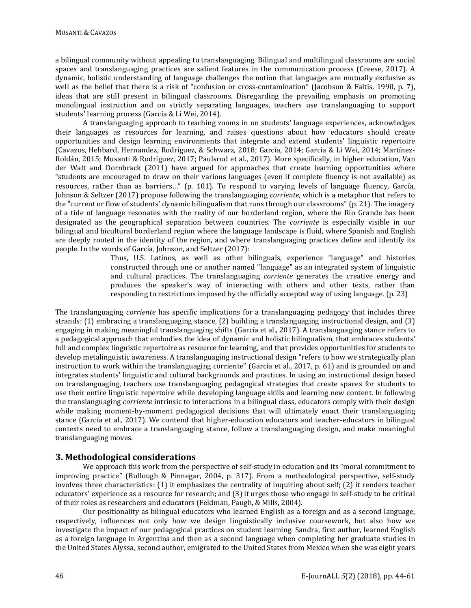a bilingual community without appealing to translanguaging. Bilingual and multilingual classrooms are social spaces and translanguaging practices are salient features in the communication process (Creese, 2017). A dynamic, holistic understanding of language challenges the notion that languages are mutually exclusive as well as the belief that there is a risk of "confusion or cross-contamination" (Jacobson & Faltis, 1990, p. 7), ideas that are still present in bilingual classrooms. Disregarding the prevailing emphasis on promoting monolingual instruction and on strictly separating languages, teachers use translanguaging to support students' learning process (García & Li Wei, 2014).

A translanguaging approach to teaching zooms in on students' language experiences, acknowledges their languages as resources for learning, and raises questions about how educators should create opportunities and design learning environments that integrate and extend students' linguistic repertoire (Cavazos, Hebbard, Hernandez, Rodriguez, & Schwarz, 2018; García, 2014; García & Li Wei, 2014; Martínez-Roldán, 2015; Musanti & Rodríguez, 2017; Paulsrud et al., 2017). More specifically, in higher education, Van der Walt and Dornbrack (2011) have argued for approaches that create learning opportunities where "students are encouraged to draw on their various languages (even if complete fluency is not available) as resources, rather than as barriers…" (p. 101). To respond to varying levels of language fluency, García, Johnson & Seltzer (2017) propose following the translanguaging *corriente*, which is a metaphor that refers to the "current or flow of students' dynamic bilingualism that runs through our classrooms" (p. 21). The imagery of a tide of language resonates with the reality of our borderland region, where the Rio Grande has been designated as the geographical separation between countries. The *corriente* is especially visible in our bilingual and bicultural borderland region where the language landscape is fluid, where Spanish and English are deeply rooted in the identity of the region, and where translanguaging practices define and identify its people. In the words of García, Johnson, and Seltzer (2017):

Thus, U.S. Latinos, as well as other bilinguals, experience "language" and histories constructed through one or another named "language" as an integrated system of linguistic and cultural practices. The translanguaging *corriente* generates the creative energy and produces the speaker's way of interacting with others and other texts, rather than responding to restrictions imposed by the officially accepted way of using language. (p. 23)

The translanguaging *corriente* has specific implications for a translanguaging pedagogy that includes three strands: (1) embracing a translanguaging stance, (2) building a translanguaging instructional design, and (3) engaging in making meaningful translanguaging shifts (García et al., 2017). A translanguaging stance refers to a pedagogical approach that embodies the idea of dynamic and holistic bilingualism, that embraces students' full and complex linguistic repertoire as resource for learning, and that provides opportunities for students to develop metalinguistic awareness. A translanguaging instructional design "refers to how we strategically plan instruction to work within the translanguaging corriente" (García et al., 2017, p. 61) and is grounded on and integrates students' linguistic and cultural backgrounds and practices. In using an instructional design based on translanguaging, teachers use translanguaging pedagogical strategies that create spaces for students to use their entire linguistic repertoire while developing language skills and learning new content. In following the translanguaging *corriente* intrinsic to interactions in a bilingual class, educators comply with their design while making moment-by-moment pedagogical decisions that will ultimately enact their translanguaging stance (García et al., 2017). We contend that higher-education educators and teacher-educators in bilingual contexts need to embrace a translanguaging stance, follow a translanguaging design, and make meaningful translanguaging moves.

## **3. Methodological considerations**

We approach this work from the perspective of self-study in education and its "moral commitment to improving practice" (Bullough & Pinnegar, 2004, p. 317). From a methodological perspective, self-study involves three characteristics: (1) it emphasizes the centrality of inquiring about self; (2) it renders teacher educators' experience as a resource for research; and (3) it urges those who engage in self-study to be critical of their roles as researchers and educators (Feldman, Paugh, & Mills, 2004).

Our positionality as bilingual educators who learned English as a foreign and as a second language, respectively, influences not only how we design linguistically inclusive coursework, but also how we investigate the impact of our pedagogical practices on student learning. Sandra, first author, learned English as a foreign language in Argentina and then as a second language when completing her graduate studies in the United States Alyssa, second author, emigrated to the United States from Mexico when she was eight years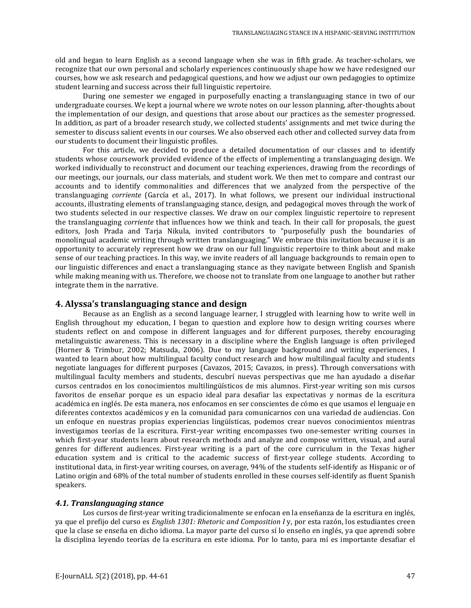old and began to learn English as a second language when she was in fifth grade. As teacher-scholars, we recognize that our own personal and scholarly experiences continuously shape how we have redesigned our courses, how we ask research and pedagogical questions, and how we adjust our own pedagogies to optimize student learning and success across their full linguistic repertoire.

During one semester we engaged in purposefully enacting a translanguaging stance in two of our undergraduate courses. We kept a journal where we wrote notes on our lesson planning, after-thoughts about the implementation of our design, and questions that arose about our practices as the semester progressed. In addition, as part of a broader research study, we collected students' assignments and met twice during the semester to discuss salient events in our courses. We also observed each other and collected survey data from our students to document their linguistic profiles.

For this article, we decided to produce a detailed documentation of our classes and to identify students whose coursework provided evidence of the effects of implementing a translanguaging design. We worked individually to reconstruct and document our teaching experiences, drawing from the recordings of our meetings, our journals, our class materials, and student work. We then met to compare and contrast our accounts and to identify commonalities and differences that we analyzed from the perspective of the translanguaging *corriente* (García et al., 2017). In what follows, we present our individual instructional accounts, illustrating elements of translanguaging stance, design, and pedagogical moves through the work of two students selected in our respective classes. We draw on our complex linguistic repertoire to represent the translanguaging *corriente* that influences how we think and teach. In their call for proposals, the guest editors, Josh Prada and Tarja Nikula, invited contributors to "purposefully push the boundaries of monolingual academic writing through written translanguaging." We embrace this invitation because it is an opportunity to accurately represent how we draw on our full linguistic repertoire to think about and make sense of our teaching practices. In this way, we invite readers of all language backgrounds to remain open to our linguistic differences and enact a translanguaging stance as they navigate between English and Spanish while making meaning with us. Therefore, we choose not to translate from one language to another but rather integrate them in the narrative.

#### **4. Alyssa's translanguaging stance and design**

Because as an English as a second language learner, I struggled with learning how to write well in English throughout my education, I began to question and explore how to design writing courses where students reflect on and compose in different languages and for different purposes, thereby encouraging metalinguistic awareness. This is necessary in a discipline where the English language is often privileged (Horner & Trimbur, 2002; Matsuda, 2006). Due to my language background and writing experiences, I wanted to learn about how multilingual faculty conduct research and how multilingual faculty and students negotiate languages for different purposes (Cavazos, 2015; Cavazos, in press). Through conversations with multilingual faculty members and students, descubrí nuevas perspectivas que me han ayudado a diseñar cursos centrados en los conocimientos multilingüísticos de mis alumnos. First-year writing son mis cursos favoritos de enseñar porque es un espacio ideal para desafiar las expectativas y normas de la escritura académica en inglés. De esta manera, nos enfocamos en ser conscientes de cómo es que usamos el lenguaje en diferentes contextos académicos y en la comunidad para comunicarnos con una variedad de audiencias. Con un enfoque en nuestras propias experiencias lingüísticas, podemos crear nuevos conocimientos mientras investigamos teorías de la escritura. First-year writing encompasses two one-semester writing courses in which first-year students learn about research methods and analyze and compose written, visual, and aural genres for different audiences. First-year writing is a part of the core curriculum in the Texas higher education system and is critical to the academic success of first-year college students. According to institutional data, in first-year writing courses, on average, 94% of the students self-identify as Hispanic or of Latino origin and 68% of the total number of students enrolled in these courses self-identify as fluent Spanish speakers.

#### *4.1. Translanguaging stance*

Los cursos de first-year writing tradicionalmente se enfocan en la enseñanza de la escritura en inglés, ya que el prefijo del curso es *English 1301: Rhetoric and Composition I* y, por esta razón, los estudiantes creen que la clase se enseña en dicho idioma. La mayor parte del curso sí lo enseño en inglés, ya que aprendí sobre la disciplina leyendo teorías de la escritura en este idioma. Por lo tanto, para mí es importante desafiar el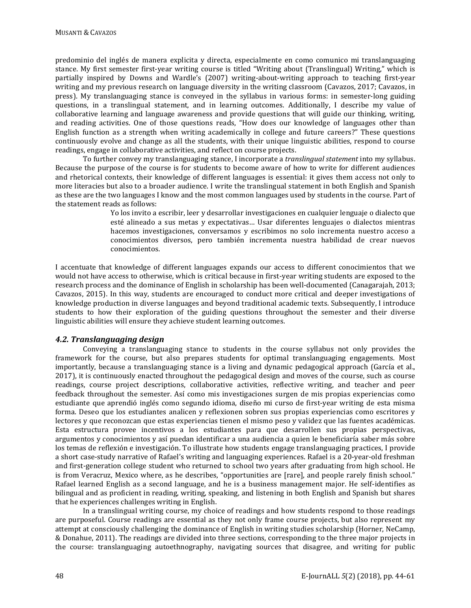predominio del inglés de manera explicita y directa, especialmente en como comunico mi translanguaging stance. My first semester first-year writing course is titled "Writing about (Translingual) Writing," which is partially inspired by Downs and Wardle's (2007) writing-about-writing approach to teaching first-year writing and my previous research on language diversity in the writing classroom (Cavazos, 2017; Cavazos, in press). My translanguaging stance is conveyed in the syllabus in various forms: in semester-long guiding questions, in a translingual statement, and in learning outcomes. Additionally, I describe my value of collaborative learning and language awareness and provide questions that will guide our thinking, writing, and reading activities. One of those questions reads, "How does our knowledge of languages other than English function as a strength when writing academically in college and future careers?" These questions continuously evolve and change as all the students, with their unique linguistic abilities, respond to course readings, engage in collaborative activities, and reflect on course projects.

To further convey my translanguaging stance, I incorporate a *translingual statement* into my syllabus. Because the purpose of the course is for students to become aware of how to write for different audiences and rhetorical contexts, their knowledge of different languages is essential: it gives them access not only to more literacies but also to a broader audience. I write the translingual statement in both English and Spanish as these are the two languages I know and the most common languages used by students in the course. Part of the statement reads as follows:

> Yo los invito a escribir, leer y desarrollar investigaciones en cualquier lenguaje o dialecto que esté alineado a sus metas y expectativas… Usar diferentes lenguajes o dialectos mientras hacemos investigaciones, conversamos y escribimos no solo incrementa nuestro acceso a conocimientos diversos, pero también incrementa nuestra habilidad de crear nuevos conocimientos.

I accentuate that knowledge of different languages expands our access to different conocimientos that we would not have access to otherwise, which is critical because in first-year writing students are exposed to the research process and the dominance of English in scholarship has been well-documented (Canagarajah, 2013; Cavazos, 2015). In this way, students are encouraged to conduct more critical and deeper investigations of knowledge production in diverse languages and beyond traditional academic texts. Subsequently, I introduce students to how their exploration of the guiding questions throughout the semester and their diverse linguistic abilities will ensure they achieve student learning outcomes.

## *4.2. Translanguaging design*

Conveying a translanguaging stance to students in the course syllabus not only provides the framework for the course, but also prepares students for optimal translanguaging engagements. Most importantly, because a translanguaging stance is a living and dynamic pedagogical approach (García et al., 2017), it is continuously enacted throughout the pedagogical design and moves of the course, such as course readings, course project descriptions, collaborative activities, reflective writing, and teacher and peer feedback throughout the semester. Así como mis investigaciones surgen de mis propias experiencias como estudiante que aprendió inglés como segundo idioma, diseño mi curso de first-year writing de esta misma forma. Deseo que los estudiantes analicen y reflexionen sobren sus propias experiencias como escritores y lectores y que reconozcan que estas experiencias tienen el mismo peso y validez que las fuentes académicas. Esta estructura provee incentivos a los estudiantes para que desarrollen sus propias perspectivas, argumentos y conocimientos y así puedan identificar a una audiencia a quien le beneficiaría saber más sobre los temas de reflexión e investigación. To illustrate how students engage translanguaging practices, I provide a short case-study narrative of Rafael's writing and languaging experiences. Rafael is a 20-year-old freshman and first-generation college student who returned to school two years after graduating from high school. He is from Veracruz, Mexico where, as he describes, "opportunities are [rare], and people rarely finish school." Rafael learned English as a second language, and he is a business management major. He self-identifies as bilingual and as proficient in reading, writing, speaking, and listening in both English and Spanish but shares that he experiences challenges writing in English.

In a translingual writing course, my choice of readings and how students respond to those readings are purposeful. Course readings are essential as they not only frame course projects, but also represent my attempt at consciously challenging the dominance of English in writing studies scholarship (Horner, NeCamp, & Donahue, 2011). The readings are divided into three sections, corresponding to the three major projects in the course: translanguaging autoethnography, navigating sources that disagree, and writing for public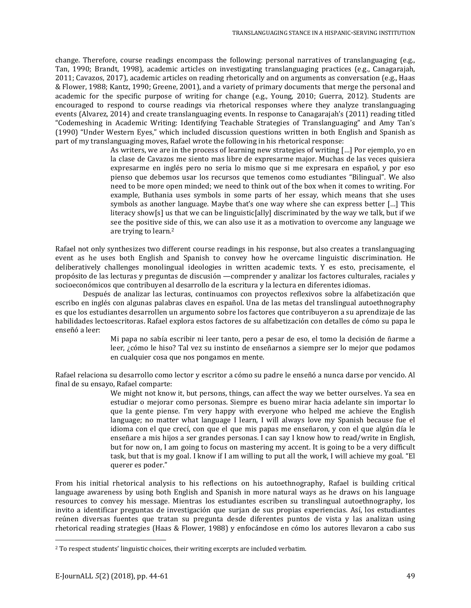change. Therefore, course readings encompass the following: personal narratives of translanguaging (e.g., Tan, 1990; Brandt, 1998), academic articles on investigating translanguaging practices (e.g., Canagarajah, 2011; Cavazos, 2017), academic articles on reading rhetorically and on arguments as conversation (e.g., Haas & Flower, 1988; Kantz, 1990; Greene, 2001), and a variety of primary documents that merge the personal and academic for the specific purpose of writing for change (e.g., Young, 2010; Guerra, 2012). Students are encouraged to respond to course readings via rhetorical responses where they analyze translanguaging events (Alvarez, 2014) and create translanguaging events. In response to Canagarajah's (2011) reading titled "Codemeshing in Academic Writing: Identifying Teachable Strategies of Translanguaging" and Amy Tan's (1990) "Under Western Eyes," which included discussion questions written in both English and Spanish as part of my translanguaging moves, Rafael wrote the following in his rhetorical response:

As writers, we are in the process of learning new strategies of writing […] Por ejemplo, yo en la clase de Cavazos me siento mas libre de expresarme major. Muchas de las veces quisiera expresarme en inglés pero no seria lo mismo que si me expresara en español, y por eso pienso que debemos usar los recursos que temenos como estudiantes "Bilingual". We also need to be more open minded; we need to think out of the box when it comes to writing. For example, Buthania uses symbols in some parts of her essay, which means that she uses symbols as another language. Maybe that's one way where she can express better […] This literacy show[s] us that we can be linguistic[ally] discriminated by the way we talk, but if we see the positive side of this, we can also use it as a motivation to overcome any language we are trying to learn.2

Rafael not only synthesizes two different course readings in his response, but also creates a translanguaging event as he uses both English and Spanish to convey how he overcame linguistic discrimination. He deliberatively challenges monolingual ideologies in written academic texts. Y es esto, precisamente, el propósito de las lecturas y preguntas de discusión —comprender y analizar los factores culturales, raciales y socioeconómicos que contribuyen al desarrollo de la escritura y la lectura en diferentes idiomas.

Después de analizar las lecturas, continuamos con proyectos reflexivos sobre la alfabetización que escribo en inglés con algunas palabras claves en español. Una de las metas del translingual autoethnography es que los estudiantes desarrollen un argumento sobre los factores que contribuyeron a su aprendizaje de las habilidades lectoescritoras. Rafael explora estos factores de su alfabetización con detalles de cómo su papa le enseñó a leer:

> Mi papa no sabía escribir ni leer tanto, pero a pesar de eso, el tomo la decisión de ñarme a leer, ¿cómo le hiso? Tal vez su instinto de enseñarnos a siempre ser lo mejor que podamos en cualquier cosa que nos pongamos en mente.

Rafael relaciona su desarrollo como lector y escritor a cómo su padre le enseñó a nunca darse por vencido. Al final de su ensayo, Rafael comparte:

We might not know it, but persons, things, can affect the way we better ourselves. Ya sea en estudiar o mejorar como personas. Siempre es bueno mirar hacia adelante sin importar lo que la gente piense. I'm very happy with everyone who helped me achieve the English language; no matter what language I learn, I will always love my Spanish because fue el idioma con el que crecí, con que el que mis papas me enseñaron, y con el que algún día le enseñare a mis hijos a ser grandes personas. I can say I know how to read/write in English, but for now on, I am going to focus on mastering my accent. It is going to be a very difficult task, but that is my goal. I know if I am willing to put all the work, I will achieve my goal. "El querer es poder."

From his initial rhetorical analysis to his reflections on his autoethnography, Rafael is building critical language awareness by using both English and Spanish in more natural ways as he draws on his language resources to convey his message. Mientras los estudiantes escriben su translingual autoethnography, los invito a identificar preguntas de investigación que surjan de sus propias experiencias. Así, los estudiantes reúnen diversas fuentes que tratan su pregunta desde diferentes puntos de vista y las analizan using rhetorical reading strategies (Haas & Flower, 1988) y enfocándose en cómo los autores llevaron a cabo sus

 $\overline{a}$ 

<sup>2</sup> To respect students' linguistic choices, their writing excerpts are included verbatim.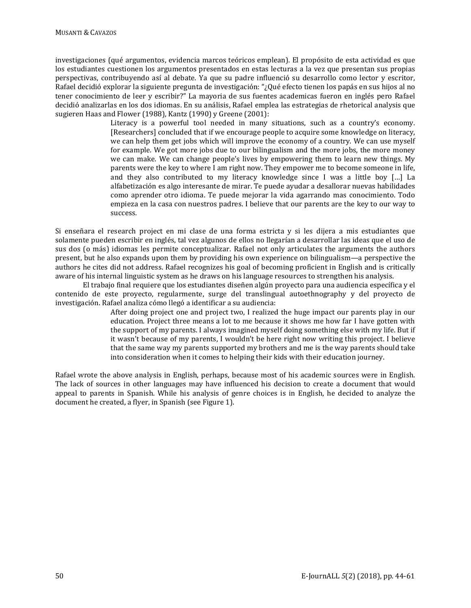investigaciones (qué argumentos, evidencia marcos teóricos emplean). El propósito de esta actividad es que los estudiantes cuestionen los argumentos presentados en estas lecturas a la vez que presentan sus propias perspectivas, contribuyendo así al debate. Ya que su padre influenció su desarrollo como lector y escritor, Rafael decidió explorar la siguiente pregunta de investigación: "¿Qué efecto tienen los papás en sus hijos al no tener conocimiento de leer y escribir?" La mayoria de sus fuentes academicas fueron en inglés pero Rafael decidió analizarlas en los dos idiomas. En su análisis, Rafael emplea las estrategias de rhetorical analysis que sugieren Haas and Flower (1988), Kantz (1990) y Greene (2001):

Literacy is a powerful tool needed in many situations, such as a country's economy. [Researchers] concluded that if we encourage people to acquire some knowledge on literacy, we can help them get jobs which will improve the economy of a country. We can use myself for example. We got more jobs due to our bilingualism and the more jobs, the more money we can make. We can change people's lives by empowering them to learn new things. My parents were the key to where I am right now. They empower me to become someone in life, and they also contributed to my literacy knowledge since I was a little boy […] La alfabetización es algo interesante de mirar. Te puede ayudar a desallorar nuevas habilidades como aprender otro idioma. Te puede mejorar la vida agarrando mas conocimiento. Todo empieza en la casa con nuestros padres. I believe that our parents are the key to our way to success.

Si enseñara el research project en mi clase de una forma estricta y si les dijera a mis estudiantes que solamente pueden escribir en inglés, tal vez algunos de ellos no llegarían a desarrollar las ideas que el uso de sus dos (o más) idiomas les permite conceptualizar. Rafael not only articulates the arguments the authors present, but he also expands upon them by providing his own experience on bilingualism—a perspective the authors he cites did not address. Rafael recognizes his goal of becoming proficient in English and is critically aware of his internal linguistic system as he draws on his language resources to strengthen his analysis.

El trabajo final requiere que los estudiantes diseñen algún proyecto para una audiencia específica y el contenido de este proyecto, regularmente, surge del translingual autoethnography y del proyecto de investigación. Rafael analiza cómo llegó a identificar a su audiencia:

> After doing project one and project two, I realized the huge impact our parents play in our education. Project three means a lot to me because it shows me how far I have gotten with the support of my parents. I always imagined myself doing something else with my life. But if it wasn't because of my parents, I wouldn't be here right now writing this project. I believe that the same way my parents supported my brothers and me is the way parents should take into consideration when it comes to helping their kids with their education journey.

Rafael wrote the above analysis in English, perhaps, because most of his academic sources were in English. The lack of sources in other languages may have influenced his decision to create a document that would appeal to parents in Spanish. While his analysis of genre choices is in English, he decided to analyze the document he created, a flyer, in Spanish (see Figure 1).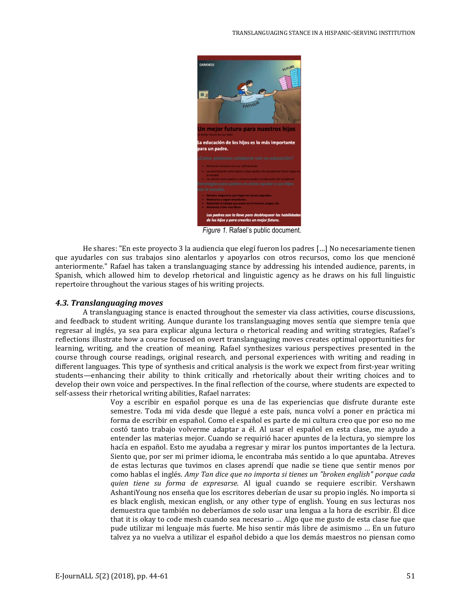

*Figure 1.* Rafael's public document.

He shares: "En este proyecto 3 la audiencia que elegí fueron los padres […] No necesariamente tienen que ayudarles con sus trabajos sino alentarlos y apoyarlos con otros recursos, como los que mencioné anteriormente." Rafael has taken a translanguaging stance by addressing his intended audience, parents, in Spanish, which allowed him to develop rhetorical and linguistic agency as he draws on his full linguistic repertoire throughout the various stages of his writing projects.

#### *4.3. Translanguaging moves*

A translanguaging stance is enacted throughout the semester via class activities, course discussions, and feedback to student writing. Aunque durante los translanguaging moves sentía que siempre tenía que regresar al inglés, ya sea para explicar alguna lectura o rhetorical reading and writing strategies, Rafael's reflections illustrate how a course focused on overt translanguaging moves creates optimal opportunities for learning, writing, and the creation of meaning. Rafael synthesizes various perspectives presented in the course through course readings, original research, and personal experiences with writing and reading in different languages. This type of synthesis and critical analysis is the work we expect from first-year writing students—enhancing their ability to think critically and rhetorically about their writing choices and to develop their own voice and perspectives. In the final reflection of the course, where students are expected to self-assess their rhetorical writing abilities, Rafael narrates:

Voy a escribir en español porque es una de las experiencias que disfrute durante este semestre. Toda mi vida desde que llegué a este país, nunca volví a poner en práctica mi forma de escribir en español. Como el español es parte de mi cultura creo que por eso no me costó tanto trabajo volverme adaptar a él. Al usar el español en esta clase, me ayudo a entender las materias mejor. Cuando se requirió hacer apuntes de la lectura, yo siempre los hacía en español. Esto me ayudaba a regresar y mirar los puntos importantes de la lectura. Siento que, por ser mi primer idioma, le encontraba más sentido a lo que apuntaba. Atreves de estas lecturas que tuvimos en clases aprendí que nadie se tiene que sentir menos por como hablas el inglés. *Amy Tan dice que no importa si tienes un "broken english" porque cada quien tiene su forma de expresarse.* Al igual cuando se requiere escribir. Vershawn AshantiYoung nos enseña que los escritores deberían de usar su propio inglés. No importa si es black english, mexican english, or any other type of english. Young en sus lecturas nos demuestra que también no deberíamos de solo usar una lengua a la hora de escribir. Él dice that it is okay to code mesh cuando sea necesario … Algo que me gusto de esta clase fue que pude utilizar mi lenguaje más fuerte. Me hiso sentir más libre de asimismo … En un futuro talvez ya no vuelva a utilizar el español debido a que los demás maestros no piensan como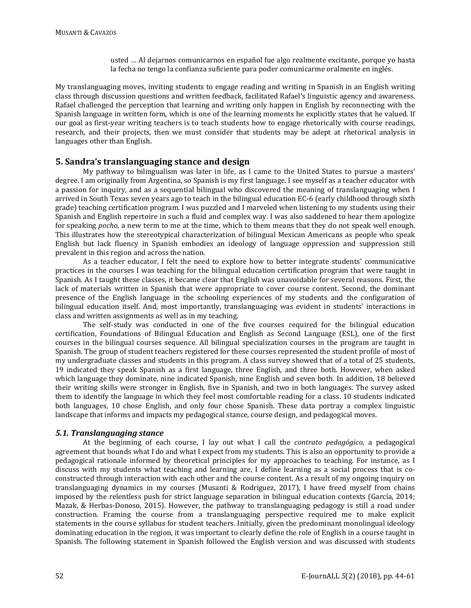usted … Al dejarnos comunicarnos en español fue algo realmente excitante, porque yo hasta la fecha no tengo la confianza suficiente para poder comunicarme oralmente en inglés.

My translanguaging moves, inviting students to engage reading and writing in Spanish in an English writing class through discussion questions and written feedback, facilitated Rafael's linguistic agency and awareness. Rafael challenged the perception that learning and writing only happen in English by reconnecting with the Spanish language in written form, which is one of the learning moments he explicitly states that he valued. If our goal as first-year writing teachers is to teach students how to engage rhetorically with course readings, research, and their projects, then we must consider that students may be adept at rhetorical analysis in languages other than English.

## **5. Sandra's translanguaging stance and design**

My pathway to bilingualism was later in life, as I came to the United States to pursue a masters' degree. I am originally from Argentina, so Spanish is my first language. I see myself as a teacher educator with a passion for inquiry, and as a sequential bilingual who discovered the meaning of translanguaging when I arrived in South Texas seven years ago to teach in the bilingual education EC-6 (early childhood through sixth grade) teaching certification program. I was puzzled and I marveled when listening to my students using their Spanish and English repertoire in such a fluid and complex way. I was also saddened to hear them apologize for speaking *pocho*, a new term to me at the time, which to them means that they do not speak well enough. This illustrates how the stereotypical characterization of bilingual Mexican Americans as people who speak English but lack fluency in Spanish embodies an ideology of language oppression and suppression still prevalent in this region and across the nation.

As a teacher educator, I felt the need to explore how to better integrate students' communicative practices in the courses I was teaching for the bilingual education certification program that were taught in Spanish. As I taught these classes, it became clear that English was unavoidable for several reasons. First, the lack of materials written in Spanish that were appropriate to cover course content. Second, the dominant presence of the English language in the schooling experiences of my students and the configuration of bilingual education itself. And, most importantly, translanguaging was evident in students' interactions in class and written assignments as well as in my teaching.

The self-study was conducted in one of the five courses required for the bilingual education certification, Foundations of Bilingual Education and English as Second Language (ESL), one of the first courses in the bilingual courses sequence. All bilingual specialization courses in the program are taught in Spanish. The group of student teachers registered for these courses represented the student profile of most of my undergraduate classes and students in this program. A class survey showed that of a total of 25 students, 19 indicated they speak Spanish as a first language, three English, and three both. However, when asked which language they dominate, nine indicated Spanish, nine English and seven both. In addition, 18 believed their writing skills were stronger in English, five in Spanish, and two in both languages. The survey asked them to identify the language in which they feel most comfortable reading for a class. 10 students indicated both languages, 10 chose English, and only four chose Spanish. These data portray a complex linguistic landscape that informs and impacts my pedagogical stance, course design, and pedagogical moves.

## *5.1. Translanguaging stance*

At the beginning of each course, I lay out what I call the *contrato pedagógico*, a pedagogical agreement that bounds what I do and what I expect from my students. This is also an opportunity to provide a pedagogical rationale informed by theoretical principles for my approaches to teaching. For instance, as I discuss with my students what teaching and learning are, I define learning as a social process that is coconstructed through interaction with each other and the course content. As a result of my ongoing inquiry on translanguaging dynamics in my courses (Musanti & Rodriguez, 2017), I have freed myself from chains imposed by the relentless push for strict language separation in bilingual education contexts (García, 2014; Mazak, & Herbas-Donoso, 2015). However, the pathway to translanguaging pedagogy is still a road under construction. Framing the course from a translanguaging perspective required me to make explicit statements in the course syllabus for student teachers. Initially, given the predominant monolingual ideology dominating education in the region, it was important to clearly define the role of English in a course taught in Spanish. The following statement in Spanish followed the English version and was discussed with students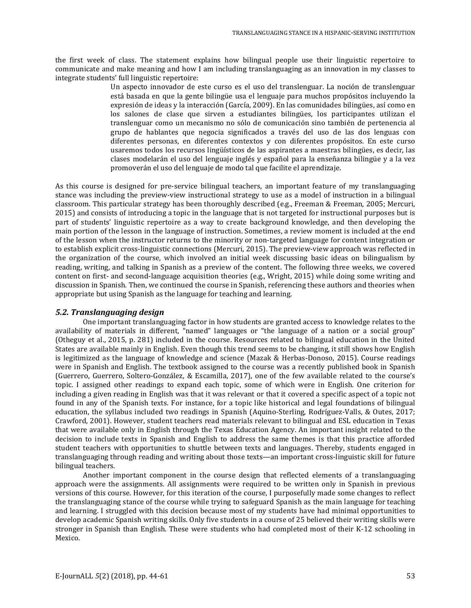the first week of class. The statement explains how bilingual people use their linguistic repertoire to communicate and make meaning and how I am including translanguaging as an innovation in my classes to integrate students' full linguistic repertoire:

> Un aspecto innovador de este curso es el uso del translenguar. La noción de translenguar está basada en que la gente bilingüe usa el lenguaje para muchos propósitos incluyendo la expresión de ideas y la interacción (García, 2009). En las comunidades bilingües, así como en los salones de clase que sirven a estudiantes bilingües, los participantes utilizan el translenguar como un mecanismo no sólo de comunicación sino también de pertenencia al grupo de hablantes que negocia significados a través del uso de las dos lenguas con diferentes personas, en diferentes contextos y con diferentes propósitos. En este curso usaremos todos los recursos lingüísticos de las aspirantes a maestras bilingües, es decir, las clases modelarán el uso del lenguaje inglés y español para la enseñanza bilingüe y a la vez promoverán el uso del lenguaje de modo tal que facilite el aprendizaje.

As this course is designed for pre-service bilingual teachers, an important feature of my translanguaging stance was including the preview-view instructional strategy to use as a model of instruction in a bilingual classroom. This particular strategy has been thoroughly described (e.g., Freeman & Freeman, 2005; Mercuri, 2015) and consists of introducing a topic in the language that is not targeted for instructional purposes but is part of students' linguistic repertoire as a way to create background knowledge, and then developing the main portion of the lesson in the language of instruction. Sometimes, a review moment is included at the end of the lesson when the instructor returns to the minority or non-targeted language for content integration or to establish explicit cross-linguistic connections (Mercuri, 2015). The preview-view approach was reflected in the organization of the course, which involved an initial week discussing basic ideas on bilingualism by reading, writing, and talking in Spanish as a preview of the content. The following three weeks, we covered content on first- and second-language acquisition theories (e.g., Wright, 2015) while doing some writing and discussion in Spanish. Then, we continued the course in Spanish, referencing these authors and theories when appropriate but using Spanish as the language for teaching and learning.

### *5.2. Translanguaging design*

One important translanguaging factor in how students are granted access to knowledge relates to the availability of materials in different, "named" languages or "the language of a nation or a social group" (Otheguy et al., 2015, p. 281) included in the course. Resources related to bilingual education in the United States are available mainly in English. Even though this trend seems to be changing, it still shows how English is legitimized as the language of knowledge and science (Mazak & Herbas-Donoso, 2015). Course readings were in Spanish and English. The textbook assigned to the course was a recently published book in Spanish (Guerrero, Guerrero, Soltero-González, & Escamilla, 2017), one of the few available related to the course's topic. I assigned other readings to expand each topic, some of which were in English. One criterion for including a given reading in English was that it was relevant or that it covered a specific aspect of a topic not found in any of the Spanish texts. For instance, for a topic like historical and legal foundations of bilingual education, the syllabus included two readings in Spanish (Aquino-Sterling, Rodríguez-Valls, & Outes, 2017; Crawford, 2001). However, student teachers read materials relevant to bilingual and ESL education in Texas that were available only in English through the Texas Education Agency. An important insight related to the decision to include texts in Spanish and English to address the same themes is that this practice afforded student teachers with opportunities to shuttle between texts and languages. Thereby, students engaged in translanguaging through reading and writing about those texts—an important cross-linguistic skill for future bilingual teachers.

Another important component in the course design that reflected elements of a translanguaging approach were the assignments. All assignments were required to be written only in Spanish in previous versions of this course. However, for this iteration of the course, I purposefully made some changes to reflect the translanguaging stance of the course while trying to safeguard Spanish as the main language for teaching and learning. I struggled with this decision because most of my students have had minimal opportunities to develop academic Spanish writing skills. Only five students in a course of 25 believed their writing skills were stronger in Spanish than English. These were students who had completed most of their K-12 schooling in Mexico.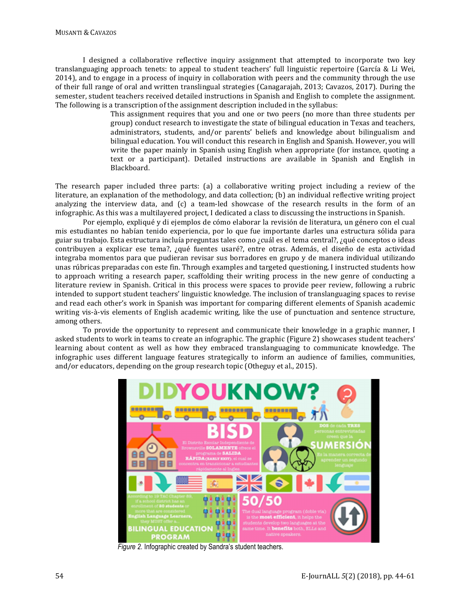I designed a collaborative reflective inquiry assignment that attempted to incorporate two key translanguaging approach tenets: to appeal to student teachers' full linguistic repertoire (García & Li Wei, 2014), and to engage in a process of inquiry in collaboration with peers and the community through the use of their full range of oral and written translingual strategies (Canagarajah, 2013; Cavazos, 2017). During the semester, student teachers received detailed instructions in Spanish and English to complete the assignment. The following is a transcription of the assignment description included in the syllabus:

> This assignment requires that you and one or two peers (no more than three students per group) conduct research to investigate the state of bilingual education in Texas and teachers, administrators, students, and/or parents' beliefs and knowledge about bilingualism and bilingual education. You will conduct this research in English and Spanish. However, you will write the paper mainly in Spanish using English when appropriate (for instance, quoting a text or a participant). Detailed instructions are available in Spanish and English in Blackboard.

The research paper included three parts: (a) a collaborative writing project including a review of the literature, an explanation of the methodology, and data collection; (b) an individual reflective writing project analyzing the interview data, and (c) a team-led showcase of the research results in the form of an infographic. As this was a multilayered project, I dedicated a class to discussing the instructions in Spanish.

Por ejemplo, expliqué y di ejemplos de cómo elaborar la revisión de literatura, un género con el cual mis estudiantes no habían tenido experiencia, por lo que fue importante darles una estructura sólida para guiar su trabajo. Esta estructura incluía preguntas tales como ¿cuál es el tema central?, ¿qué conceptos o ideas contribuyen a explicar ese tema?, ¿qué fuentes usaré?, entre otras. Además, el diseño de esta actividad integraba momentos para que pudieran revisar sus borradores en grupo y de manera individual utilizando unas rúbricas preparadas con este fin. Through examples and targeted questioning, I instructed students how to approach writing a research paper, scaffolding their writing process in the new genre of conducting a literature review in Spanish. Critical in this process were spaces to provide peer review, following a rubric intended to support student teachers' linguistic knowledge. The inclusion of translanguaging spaces to revise and read each other's work in Spanish was important for comparing different elements of Spanish academic writing vis-à-vis elements of English academic writing, like the use of punctuation and sentence structure, among others.

To provide the opportunity to represent and communicate their knowledge in a graphic manner, I asked students to work in teams to create an infographic. The graphic (Figure 2) showcases student teachers' learning about content as well as how they embraced translanguaging to communicate knowledge. The infographic uses different language features strategically to inform an audience of families, communities, and/or educators, depending on the group research topic (Otheguy et al., 2015).



*Figure 2.* Infographic created by Sandra's student teachers.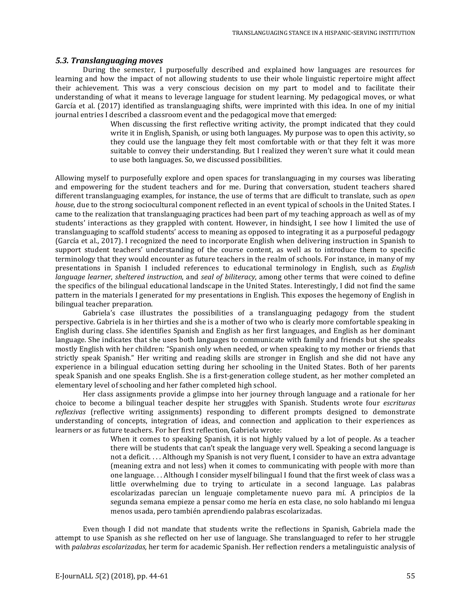#### *5.3. Translanguaging moves*

During the semester, I purposefully described and explained how languages are resources for learning and how the impact of not allowing students to use their whole linguistic repertoire might affect their achievement. This was a very conscious decision on my part to model and to facilitate their understanding of what it means to leverage language for student learning. My pedagogical moves, or what García et al. (2017) identified as translanguaging shifts, were imprinted with this idea. In one of my initial journal entries I described a classroom event and the pedagogical move that emerged:

> When discussing the first reflective writing activity, the prompt indicated that they could write it in English, Spanish, or using both languages. My purpose was to open this activity, so they could use the language they felt most comfortable with or that they felt it was more suitable to convey their understanding. But I realized they weren't sure what it could mean to use both languages. So, we discussed possibilities*.*

Allowing myself to purposefully explore and open spaces for translanguaging in my courses was liberating and empowering for the student teachers and for me. During that conversation, student teachers shared different translanguaging examples, for instance, the use of terms that are difficult to translate, such as *open house*, due to the strong sociocultural component reflected in an event typical of schools in the United States. I came to the realization that translanguaging practices had been part of my teaching approach as well as of my students' interactions as they grappled with content. However, in hindsight, I see how I limited the use of translanguaging to scaffold students' access to meaning as opposed to integrating it as a purposeful pedagogy (García et al., 2017). I recognized the need to incorporate English when delivering instruction in Spanish to support student teachers' understanding of the course content, as well as to introduce them to specific terminology that they would encounter as future teachers in the realm of schools. For instance, in many of my presentations in Spanish I included references to educational terminology in English, such as *English language learner*, *sheltered instruction*, and *seal of biliteracy*, among other terms that were coined to define the specifics of the bilingual educational landscape in the United States. Interestingly, I did not find the same pattern in the materials I generated for my presentations in English. This exposes the hegemony of English in bilingual teacher preparation.

Gabriela's case illustrates the possibilities of a translanguaging pedagogy from the student perspective. Gabriela is in her thirties and she is a mother of two who is clearly more comfortable speaking in English during class. She identifies Spanish and English as her first languages, and English as her dominant language. She indicates that she uses both languages to communicate with family and friends but she speaks mostly English with her children: "Spanish only when needed, or when speaking to my mother or friends that strictly speak Spanish." Her writing and reading skills are stronger in English and she did not have any experience in a bilingual education setting during her schooling in the United States. Both of her parents speak Spanish and one speaks English. She is a first-generation college student, as her mother completed an elementary level of schooling and her father completed high school.

Her class assignments provide a glimpse into her journey through language and a rationale for her choice to become a bilingual teacher despite her struggles with Spanish. Students wrote four *escrituras reflexivas* (reflective writing assignments) responding to different prompts designed to demonstrate understanding of concepts, integration of ideas, and connection and application to their experiences as learners or as future teachers. For her first reflection, Gabriela wrote:

When it comes to speaking Spanish, it is not highly valued by a lot of people. As a teacher there will be students that can't speak the language very well. Speaking a second language is not a deficit. . . . Although my Spanish is not very fluent, I consider to have an extra advantage (meaning extra and not less) when it comes to communicating with people with more than one language. . . Although I consider myself bilingual I found that the first week of class was a little overwhelming due to trying to articulate in a second language. Las palabras escolarizadas parecían un lenguaje completamente nuevo para mí. A principios de la segunda semana empieze a pensar como me hería en esta clase, no solo hablando mi lengua menos usada, pero también aprendiendo palabras escolarizadas.

Even though I did not mandate that students write the reflections in Spanish, Gabriela made the attempt to use Spanish as she reflected on her use of language. She translanguaged to refer to her struggle with *palabras escolarizadas,* her term for academic Spanish. Her reflection renders a metalinguistic analysis of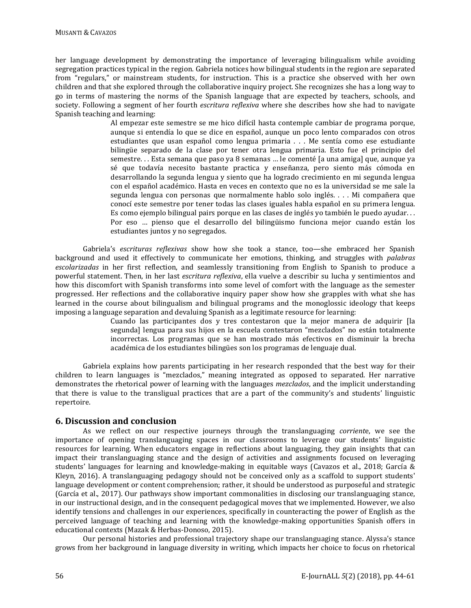her language development by demonstrating the importance of leveraging bilingualism while avoiding segregation practices typical in the region. Gabriela notices how bilingual students in the region are separated from "regulars," or mainstream students, for instruction. This is a practice she observed with her own children and that she explored through the collaborative inquiry project. She recognizes she has a long way to go in terms of mastering the norms of the Spanish language that are expected by teachers, schools, and society. Following a segment of her fourth *escritura reflexiva* where she describes how she had to navigate Spanish teaching and learning:

Al empezar este semestre se me hico difícil hasta contemple cambiar de programa porque, aunque si entendía lo que se dice en español, aunque un poco lento comparados con otros estudiantes que usan español como lengua primaria . . . Me sentía como ese estudiante bilingüe separado de la clase por tener otra lengua primaria. Esto fue el principio del semestre. . . Esta semana que paso ya 8 semanas … le comenté [a una amiga] que, aunque ya sé que todavía necesito bastante practica y enseñanza, pero siento más cómoda en desarrollando la segunda lengua y siento que ha logrado crecimiento en mi segunda lengua con el español académico. Hasta en veces en contexto que no es la universidad se me sale la segunda lengua con personas que normalmente hablo solo inglés. . . . Mi compañera que conocí este semestre por tener todas las clases iguales habla español en su primera lengua. Es como ejemplo bilingual pairs porque en las clases de inglés yo también le puedo ayudar. . . Por eso … pienso que el desarrollo del bilingüismo funciona mejor cuando están los estudiantes juntos y no segregados.

Gabriela's *escrituras reflexivas* show how she took a stance, too—she embraced her Spanish background and used it effectively to communicate her emotions, thinking, and struggles with *palabras escolarizadas* in her first reflection, and seamlessly transitioning from English to Spanish to produce a powerful statement. Then, in her last *escritura reflexiva*, ella vuelve a describir su lucha y sentimientos and how this discomfort with Spanish transforms into some level of comfort with the language as the semester progressed. Her reflections and the collaborative inquiry paper show how she grapples with what she has learned in the course about bilingualism and bilingual programs and the monoglossic ideology that keeps imposing a language separation and devaluing Spanish as a legitimate resource for learning:

Cuando las participantes dos y tres contestaron que la mejor manera de adquirir [la segunda] lengua para sus hijos en la escuela contestaron "mezclados" no están totalmente incorrectas. Los programas que se han mostrado más efectivos en disminuir la brecha académica de los estudiantes bilingües son los programas de lenguaje dual.

Gabriela explains how parents participating in her research responded that the best way for their children to learn languages is "mezclados," meaning integrated as opposed to separated. Her narrative demonstrates the rhetorical power of learning with the languages *mezclados*, and the implicit understanding that there is value to the transligual practices that are a part of the community's and students' linguistic repertoire.

## **6. Discussion and conclusion**

As we reflect on our respective journeys through the translanguaging *corrient*e, we see the importance of opening translanguaging spaces in our classrooms to leverage our students' linguistic resources for learning. When educators engage in reflections about languaging, they gain insights that can impact their translanguaging stance and the design of activities and assignments focused on leveraging students' languages for learning and knowledge-making in equitable ways (Cavazos et al., 2018; García & Kleyn, 2016). A translanguaging pedagogy should not be conceived only as a scaffold to support students' language development or content comprehension; rather, it should be understood as purposeful and strategic (García et al., 2017). Our pathways show important commonalities in disclosing our translanguaging stance, in our instructional design, and in the consequent pedagogical moves that we implemented. However, we also identify tensions and challenges in our experiences, specifically in counteracting the power of English as the perceived language of teaching and learning with the knowledge-making opportunities Spanish offers in educational contexts (Mazak & Herbas-Donoso, 2015).

Our personal histories and professional trajectory shape our translanguaging stance. Alyssa's stance grows from her background in language diversity in writing, which impacts her choice to focus on rhetorical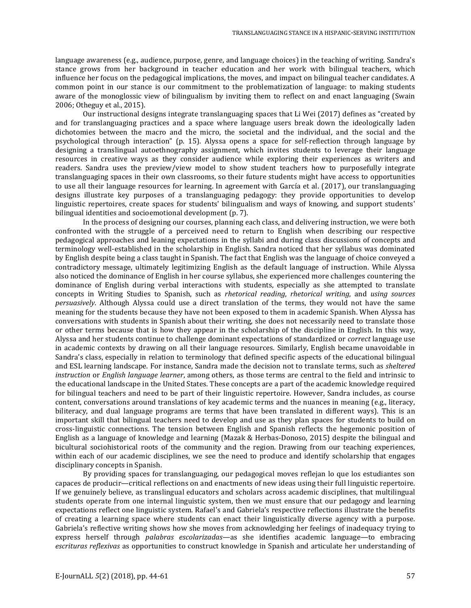language awareness (e.g., audience, purpose, genre, and language choices) in the teaching of writing. Sandra's stance grows from her background in teacher education and her work with bilingual teachers, which influence her focus on the pedagogical implications, the moves, and impact on bilingual teacher candidates. A common point in our stance is our commitment to the problematization of language: to making students aware of the monoglossic view of bilingualism by inviting them to reflect on and enact languaging (Swain 2006; Otheguy et al., 2015).

Our instructional designs integrate translanguaging spaces that Li Wei (2017) defines as "created by and for translanguaging practices and a space where language users break down the ideologically laden dichotomies between the macro and the micro, the societal and the individual, and the social and the psychological through interaction" (p. 15). Alyssa opens a space for self-reflection through language by designing a translingual autoethnography assignment, which invites students to leverage their language resources in creative ways as they consider audience while exploring their experiences as writers and readers. Sandra uses the preview/view model to show student teachers how to purposefully integrate translanguaging spaces in their own classrooms, so their future students might have access to opportunities to use all their language resources for learning. In agreement with García et al. (2017), our translanguaging designs illustrate key purposes of a translanguaging pedagogy: they provide opportunities to develop linguistic repertoires, create spaces for students' bilingualism and ways of knowing, and support students' bilingual identities and socioemotional development (p. 7).

In the process of designing our courses, planning each class, and delivering instruction, we were both confronted with the struggle of a perceived need to return to English when describing our respective pedagogical approaches and leaning expectations in the syllabi and during class discussions of concepts and terminology well-established in the scholarship in English. Sandra noticed that her syllabus was dominated by English despite being a class taught in Spanish. The fact that English was the language of choice conveyed a contradictory message, ultimately legitimizing English as the default language of instruction. While Alyssa also noticed the dominance of English in her course syllabus, she experienced more challenges countering the dominance of English during verbal interactions with students, especially as she attempted to translate concepts in Writing Studies to Spanish, such as *rhetorical reading*, *rhetorical writing*, and *using sources persuasively*. Although Alyssa could use a direct translation of the terms, they would not have the same meaning for the students because they have not been exposed to them in academic Spanish. When Alyssa has conversations with students in Spanish about their writing, she does not necessarily need to translate those or other terms because that is how they appear in the scholarship of the discipline in English. In this way, Alyssa and her students continue to challenge dominant expectations of standardized or *correct* language use in academic contexts by drawing on all their language resources. Similarly, English became unavoidable in Sandra's class, especially in relation to terminology that defined specific aspects of the educational bilingual and ESL learning landscape. For instance, Sandra made the decision not to translate terms, such as *sheltered instruction* or *English language learner*, among others, as those terms are central to the field and intrinsic to the educational landscape in the United States. These concepts are a part of the academic knowledge required for bilingual teachers and need to be part of their linguistic repertoire. However, Sandra includes, as course content, conversations around translations of key academic terms and the nuances in meaning (e.g., literacy, biliteracy, and dual language programs are terms that have been translated in different ways). This is an important skill that bilingual teachers need to develop and use as they plan spaces for students to build on cross-linguistic connections. The tension between English and Spanish reflects the hegemonic position of English as a language of knowledge and learning (Mazak & Herbas-Donoso, 2015) despite the bilingual and bicultural sociohistorical roots of the community and the region. Drawing from our teaching experiences, within each of our academic disciplines, we see the need to produce and identify scholarship that engages disciplinary concepts in Spanish.

By providing spaces for translanguaging, our pedagogical moves reflejan lo que los estudiantes son capaces de producir—critical reflections on and enactments of new ideas using their full linguistic repertoire. If we genuinely believe, as translingual educators and scholars across academic disciplines, that multilingual students operate from one internal linguistic system, then we must ensure that our pedagogy and learning expectations reflect one linguistic system. Rafael's and Gabriela's respective reflections illustrate the benefits of creating a learning space where students can enact their linguistically diverse agency with a purpose. Gabriela's reflective writing shows how she moves from acknowledging her feelings of inadequacy trying to express herself through *palabras escolarizadas—*as she identifies academic language—to embracing *escrituras reflexivas* as opportunities to construct knowledge in Spanish and articulate her understanding of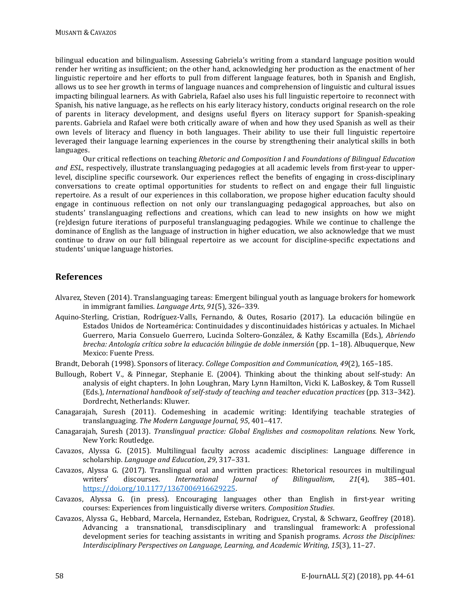bilingual education and bilingualism. Assessing Gabriela's writing from a standard language position would render her writing as insufficient; on the other hand, acknowledging her production as the enactment of her linguistic repertoire and her efforts to pull from different language features, both in Spanish and English, allows us to see her growth in terms of language nuances and comprehension of linguistic and cultural issues impacting bilingual learners. As with Gabriela, Rafael also uses his full linguistic repertoire to reconnect with Spanish, his native language, as he reflects on his early literacy history, conducts original research on the role of parents in literacy development, and designs useful flyers on literacy support for Spanish-speaking parents. Gabriela and Rafael were both critically aware of when and how they used Spanish as well as their own levels of literacy and fluency in both languages. Their ability to use their full linguistic repertoire leveraged their language learning experiences in the course by strengthening their analytical skills in both languages.

Our critical reflections on teaching *Rhetoric and Composition I* and *Foundations of Bilingual Education and ESL*, respectively, illustrate translanguaging pedagogies at all academic levels from first-year to upperlevel, discipline specific coursework. Our experiences reflect the benefits of engaging in cross-disciplinary conversations to create optimal opportunities for students to reflect on and engage their full linguistic repertoire. As a result of our experiences in this collaboration, we propose higher education faculty should engage in continuous reflection on not only our translanguaging pedagogical approaches, but also on students' translanguaging reflections and creations, which can lead to new insights on how we might (re)design future iterations of purposeful translanguaging pedagogies. While we continue to challenge the dominance of English as the language of instruction in higher education, we also acknowledge that we must continue to draw on our full bilingual repertoire as we account for discipline-specific expectations and students' unique language histories.

## **References**

- Alvarez, Steven (2014). Translanguaging tareas: Emergent bilingual youth as language brokers for homework in immigrant families. *Language Arts*, *91*(5), 326–339.
- Aquino-Sterling, Cristian, Rodríguez-Valls, Fernando, & Outes, Rosario (2017). La educación bilingüe en Estados Unidos de Norteamérica: Continuidades y discontinuidades históricas y actuales. In Michael Guerrero, Maria Consuelo Guerrero, Lucinda Soltero-González, & Kathy Escamilla (Eds.), *Abriendo brecha: Antología crítica sobre la educación bilingüe de doble inmersión* (pp. 1–18). Albuquerque, New Mexico: Fuente Press.
- Brandt, Deborah (1998). Sponsors of literacy. *College Composition and Communication*, *49*(2), 165–185.
- Bullough, Robert V., & Pinnegar, Stephanie E. (2004). Thinking about the thinking about self-study: An analysis of eight chapters. In John Loughran, Mary Lynn Hamilton, Vicki K. LaBoskey, & Tom Russell (Eds.), *International handbook of self-study of teaching and teacher education practices* (pp. 313–342). Dordrecht, Netherlands: Kluwer.
- Canagarajah, Suresh (2011). Codemeshing in academic writing: Identifying teachable strategies of translanguaging. *The Modern Language Journal*, *95*, 401–417.
- Canagarajah, Suresh (2013). *Translingual practice: Global Englishes and cosmopolitan relations.* New York, New York: Routledge.
- Cavazos, Alyssa G. (2015). Multilingual faculty across academic disciplines: Language difference in scholarship. *Language and Education*, *29*, 317–331.
- Cavazos, Alyssa G. (2017). Translingual oral and written practices: Rhetorical resources in multilingual<br>writers' discourses. International Journal of Bilingualism, 21(4), 385-401. writers' discourses. *International Journal of Bilingualism*, *21*(4), 385–401. [https://doi.org/10.1177/1367006916629225.](https://doi.org/10.1177/1367006916629225)
- Cavazos, Alyssa G. (in press). Encouraging languages other than English in first-year writing courses: Experiences from linguistically diverse writers*. Composition Studies*.
- Cavazos, Alyssa G., Hebbard, Marcela, Hernandez, Esteban, Rodriguez, Crystal, & Schwarz, Geoffrey (2018). Advancing a transnational, transdisciplinary and translingual framework: A professional development series for teaching assistants in writing and Spanish programs. *Across the Disciplines: Interdisciplinary Perspectives on Language, Learning, and Academic Writing*, *15*(3), 11–27.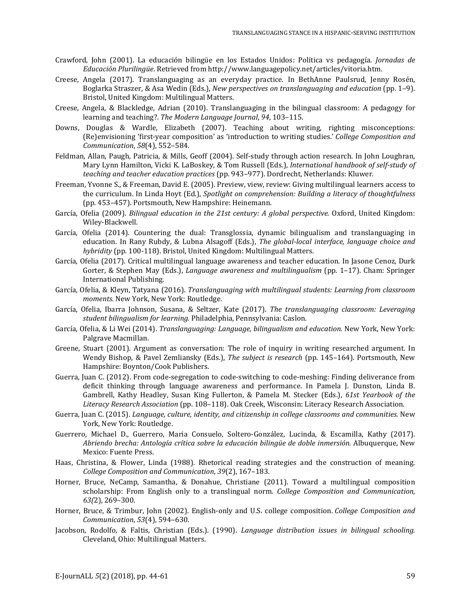- Crawford, John (2001). La educación bilingüe en los Estados Unidos: Política vs pedagogía. *Jornadas de Educación Plurilingüe*. Retrieved from [http://www.languagepolicy.net/articles/vitoria.htm.](http://www.languagepolicy.net/articles/vitoria.htm)
- Creese, Angela (2017). Translanguaging as an everyday practice. In BethAnne Paulsrud, Jenny Rosén, Boglarka Straszer, & Asa Wedin (Eds.), *New perspectives on translanguaging and education* (pp. 1–9). Bristol, United Kingdom: Multilingual Matters.
- Creese, Angela, & Blackledge, Adrian (2010). Translanguaging in the bilingual classroom: A pedagogy for learning and teaching?. *The Modern Language Journal*, *94*, 103–115.
- Downs, Douglas & Wardle, Elizabeth (2007). Teaching about writing, righting misconceptions: (Re)envisioning 'first-year composition' as 'introduction to writing studies.' *College Composition and Communication*, *58*(4), 552–584.
- Feldman, Allan, Paugh, Patricia, & Mills, Geoff (2004). Self-study through action research. In John Loughran, Mary Lynn Hamilton, Vicki K. LaBoskey, & Tom Russell (Eds.), *lnternational handbook of self-study of teaching and teacher education practices* (pp. 943–977). Dordrecht, Netherlands: Kluwer.
- Freeman, Yvonne S., & Freeman, David E. (2005). Preview, view, review: Giving multilingual learners access to the curriculum. In Linda Hoyt (Ed.), *Spotlight on comprehension: Building a literacy of thoughtfulness*  (pp. 453–457). Portsmouth, New Hampshire: Heinemann.
- García, Ofelia (2009). *Bilingual education in the 21st century: A global perspective.* Oxford, United Kingdom: Wiley-Blackwell.
- García, Ofelia (2014). Countering the dual: Transglossia, dynamic bilingualism and translanguaging in education. In Rany Rubdy, & Lubna Alsagoff (Eds.), *The global-local interface, language choice and hybridity* (pp. 100-118). Bristol, United Kingdom: Multilingual Matters.
- García, Ofelia (2017). Critical multilingual language awareness and teacher education. In Jasone Cenoz, Durk Gorter, & Stephen May (Eds.), *Language awareness and multilingualism* (pp. 1–17). Cham: Springer International Publishing.
- García, Ofelia, & Kleyn, Tatyana (2016). *Translanguaging with multilingual students: Learning from classroom moments.* New York, New York: Routledge.
- García, Ofelia, Ibarra Johnson, Susana, & Seltzer, Kate (2017). *The translanguaging classroom: Leveraging student bilingualism for learning.* Philadelphia, Pennsylvania: Caslon.
- García, Ofelia, & Li Wei (2014). *Translanguaging: Language, bilingualism and education*. New York, New York: Palgrave Macmillan.
- Greene, Stuart (2001). Argument as conversation: The role of inquiry in writing researched argument. In Wendy Bishop, & Pavel Zemliansky (Eds.), *The subject is research* (pp. 145–164). Portsmouth, New Hampshire: Boynton/Cook Publishers.
- Guerra, Juan C. (2012). From code-segregation to code-switching to code-meshing: Finding deliverance from deficit thinking through language awareness and performance. In Pamela J. Dunston, Linda B. Gambrell, Kathy Headley, Susan King Fullerton, & Pamela M. Stecker (Eds.), *61st Yearbook of the Literacy Research Association* (pp. 108–118). Oak Creek, Wisconsin: Literacy Research Association.
- Guerra, Juan C. (2015). *Language, culture, identity, and citizenship in college classrooms and communities.* New York, New York: Routledge.
- Guerrero, Michael D., Guerrero, Maria Consuelo, Soltero-González, Lucinda, & Escamilla, Kathy (2017)*. Abriendo brecha: Antología crítica sobre la educación bilingüe de doble inmersión.* Albuquerque, New Mexico: Fuente Press.
- Haas, Christina, & Flower, Linda (1988). Rhetorical reading strategies and the construction of meaning. *College Composition and Communication*, *39*(2), 167–183.
- Horner, Bruce, NeCamp, Samantha, & Donahue, Christiane (2011). Toward a multilingual composition scholarship: From English only to a translingual norm. *College Composition and Communication, 63(*2), 269–300.
- Horner, Bruce, & Trimbur, John (2002). English-only and U.S. college composition. *College Composition and Communication*, *53*(4), 594–630.
- Jacobson, Rodolfo, & Faltis, Christian (Eds.). (1990). *Language distribution issues in bilingual schooling.* Cleveland, Ohio: Multilingual Matters.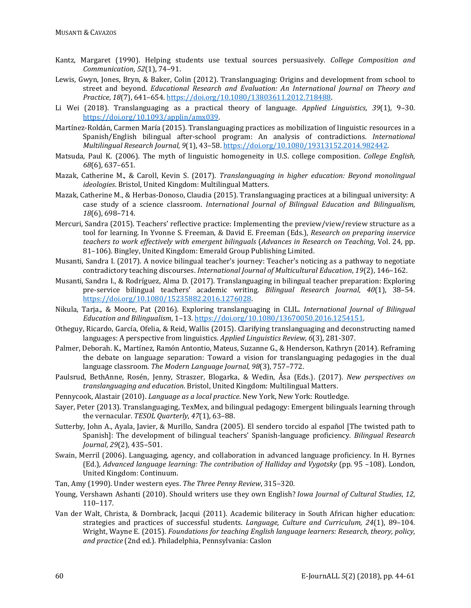- Kantz, Margaret (1990). Helping students use textual sources persuasively. *College Composition and Communication*, *52*(1), 74–91.
- Lewis, Gwyn, Jones, Bryn, & Baker, Colin (2012). Translanguaging: Origins and development from school to street and beyond. *Educational Research and Evaluation: An International Journal on Theory and Practice*, *18*(7), 641–654. [https://doi.org/10.1080/13803611.2012.718488.](https://doi.org/10.1080/13803611.2012.718488)
- Li Wei (2018). Translanguaging as a practical theory of language. *Applied Linguistics*, *39*(1), 9–30. [https://doi.org/10.1093/applin/amx039.](https://doi.org/10.1093/applin/amx039)
- Martínez-Roldán, Carmen María (2015). Translanguaging practices as mobilization of linguistic resources in a Spanish/English bilingual after-school program: An analysis of contradictions. *International Multilingual Research Journal*, *9*(1), 43–58[. https://doi.org/10.1080/19313152.2014.982442.](https://doi.org/10.1080/19313152.2014.982442)
- Matsuda, Paul K. (2006). The myth of linguistic homogeneity in U.S. college composition. *College English, 68*(6), 637–651.
- Mazak, Catherine M., & Caroll, Kevin S. (2017). *Translanguaging in higher education: Beyond monolingual ideologies*. Bristol, United Kingdom: Multilingual Matters.
- Mazak, Catherine M., & Herbas-Donoso, Claudia (2015). Translanguaging practices at a bilingual university: A case study of a science classroom. *International Journal of Bilingual Education and Bilingualism*, *18*(6), 698–714.
- Mercuri, Sandra (2015). Teachers' reflective practice: Implementing the preview/view/review structure as a tool for learning. In Yvonne S. Freeman, & David E. Freeman (Eds.), *Research on preparing inservice teachers to work effectively with emergent bilinguals* (*Advances in Research on Teaching*, Vol. 24, pp. 81–106). Bingley, United Kingdom: Emerald Group Publishing Limited.
- Musanti, Sandra I. (2017). A novice bilingual teacher's journey: Teacher's noticing as a pathway to negotiate contradictory teaching discourses. *International Journal of Multicultural Education*, *19*(2), 146–162.
- Musanti, Sandra I., & Rodríguez, Alma D. (2017). Translanguaging in bilingual teacher preparation: Exploring pre-service bilingual teachers' academic writing. *Bilingual Research Journal*, *40*(1), 38–54. [https://doi.org/10.1080/15235882.2016.1276028.](https://doi.org/10.1080/15235882.2016.1276028)
- Nikula, Tarja., & Moore, Pat (2016). Exploring translanguaging in CLIL. *International Journal of Bilingual Education and Bilingualism*, 1–13[. https://doi.org/10.1080/13670050.2016.1254151.](https://doi.org/10.1080/13670050.2016.1254151)
- Otheguy, Ricardo, García, Ofelia, & Reid, Wallis (2015). Clarifying translanguaging and deconstructing named languages: A perspective from linguistics. *Applied Linguistics Review*, *6*(3), 281-307.
- Palmer, Deborah. K., Martínez, Ramón Antontio, Mateus, Suzanne G., & Henderson, Kathryn (2014). Reframing the debate on language separation: Toward a vision for translanguaging pedagogies in the dual language classroom. *The Modern Language Journal*, *98*(3), 757–772.
- Paulsrud, BethAnne, Rosén, Jenny, Straszer, Blogarka, & Wedin, Åsa (Eds.). (2017). *New perspectives on translanguaging and education*. Bristol, United Kingdom: Multilingual Matters.
- Pennycook, Alastair (2010). *Language as a local practice*. New York, New York: Routledge.
- Sayer, Peter (2013). Translanguaging, TexMex, and bilingual pedagogy: Emergent bilinguals learning through the vernacular. *TESOL Quarterly*, *47*(1), 63–88.
- Sutterby, John A., Ayala, Javier, & Murillo, Sandra (2005). El sendero torcido al español [The twisted path to Spanish]: The development of bilingual teachers' Spanish-language proficiency. *Bilingual Research Journal*, *29*(2), 435–501.
- Swain, Merril (2006). Languaging, agency, and collaboration in advanced language proficiency. In H. Byrnes (Ed.), *Advanced language learning: The contribution of Halliday and Vygotsky* (pp. 95 –108). London, United Kingdom: Continuum.
- Tan, Amy (1990). Under western eyes. *The Three Penny Review*, 315–320.
- Young, Vershawn Ashanti (2010). Should writers use they own English? *Iowa Journal of Cultural Studies*, *12*, 110–117.
- Van der Walt, Christa, & Dornbrack, Jacqui (2011). Academic biliteracy in South African higher education: strategies and practices of successful students. *Language, Culture and Curriculum, 24*(1), 89–104. Wright, Wayne E. (2015). *Foundations for teaching English language learners: Research, theory, policy, and practice* (2nd ed.). Philadelphia, Pennsylvania: Caslon